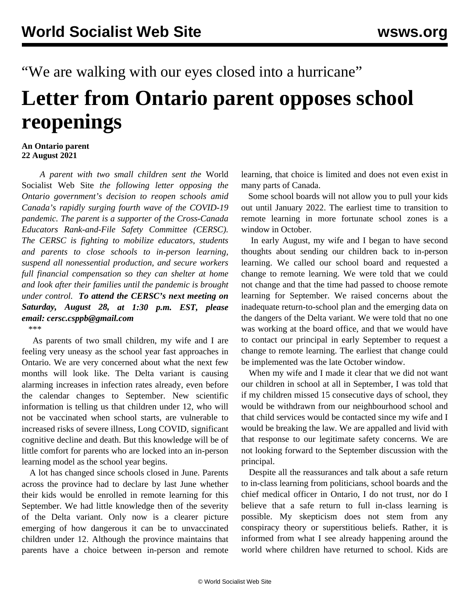"We are walking with our eyes closed into a hurricane"

## **Letter from Ontario parent opposes school reopenings**

## **An Ontario parent 22 August 2021**

 *A parent with two small children sent the* World Socialist Web Site *the following letter opposing the Ontario government's decision to reopen schools amid Canada's rapidly surging fourth wave of the COVID-19 pandemic. The parent is a supporter of the Cross-Canada Educators Rank-and-File Safety Committee (CERSC). The CERSC is fighting to mobilize educators, students and parents to close schools to in-person learning, suspend all nonessential production, and secure workers full financial compensation so they can shelter at home and look after their families until the pandemic is brought under control. To attend the CERSC's next meeting on Saturday, August 28, at 1:30 p.m. EST, please email: cersc.csppb@gmail.com* \*\*\*

 As parents of two small children, my wife and I are feeling very uneasy as the school year fast approaches in Ontario. We are very concerned about what the next few months will look like. The Delta variant is causing alarming increases in infection rates already, even before the calendar changes to September. New scientific information is telling us that children under 12, who will not be vaccinated when school starts, are vulnerable to increased risks of severe illness, Long COVID, significant cognitive decline and death. But this knowledge will be of little comfort for parents who are locked into an in-person learning model as the school year begins.

 A lot has changed since schools closed in June. Parents across the province had to declare by last June whether their kids would be enrolled in remote learning for this September. We had little knowledge then of the severity of the Delta variant. Only now is a clearer picture emerging of how dangerous it can be to unvaccinated children under 12. Although the province maintains that parents have a choice between in-person and remote learning, that choice is limited and does not even exist in many parts of Canada.

 Some school boards will not allow you to pull your kids out until January 2022. The earliest time to transition to remote learning in more fortunate school zones is a window in October.

 In early August, my wife and I began to have second thoughts about sending our children back to in-person learning. We called our school board and requested a change to remote learning. We were told that we could not change and that the time had passed to choose remote learning for September. We raised concerns about the inadequate return-to-school plan and the emerging data on the dangers of the Delta variant. We were told that no one was working at the board office, and that we would have to contact our principal in early September to request a change to remote learning. The earliest that change could be implemented was the late October window.

 When my wife and I made it clear that we did not want our children in school at all in September, I was told that if my children missed 15 consecutive days of school, they would be withdrawn from our neighbourhood school and that child services would be contacted since my wife and I would be breaking the law. We are appalled and livid with that response to our legitimate safety concerns. We are not looking forward to the September discussion with the principal.

 Despite all the reassurances and talk about a safe return to in-class learning from politicians, school boards and the chief medical officer in Ontario, I do not trust, nor do I believe that a safe return to full in-class learning is possible. My skepticism does not stem from any conspiracy theory or superstitious beliefs. Rather, it is informed from what I see already happening around the world where children have returned to school. Kids are